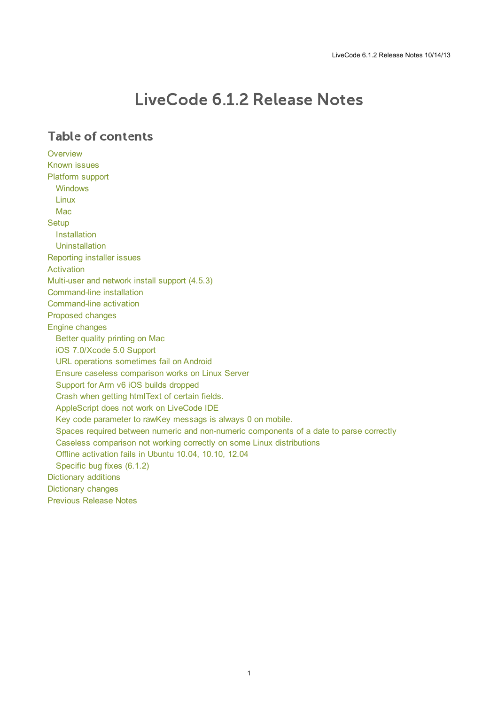# LiveCode 6.1.2 Release Notes

### Table of contents

**[Overview](#page-1-0)** [Known](#page-1-1) issues [Platform](#page-1-2) support [Windows](#page-1-3) [Linux](#page-1-4) [Mac](#page-2-0) **[Setup](#page-3-0)** [Installation](#page-3-1) **[Uninstallation](#page-3-2)** [Reporting](#page-3-3) installer issues [Activation](#page-4-0) [Multi-user](#page-4-1) and network install support (4.5.3) [Command-line](#page-4-2) installation [Command-line](#page-5-0) activation [Proposed](#page-5-1) changes Engine [changes](#page-6-0) Better quality [printing](#page-6-1) on Mac iOS [7.0/Xcode](#page-6-2) 5.0 Support URL operations [sometimes](#page-6-3) fail on Android Ensure caseless [comparison](#page-6-4) works on Linux Server Support for Arm v6 iOS builds [dropped](#page-6-5) Crash when getting [htmlText](#page-7-0) of certain fields. [AppleScript](#page-7-1) does not work on LiveCode IDE Key code [parameter](#page-7-2) to rawKey messags is always 0 on mobile. Spaces required between numeric and non-numeric [components](#page-7-3) of a date to parse correctly Caseless comparison not working correctly on some Linux [distributions](#page-7-4) Offline [activation](#page-7-5) fails in Ubuntu 10.04, 10.10, 12.04 [Specific](#page-7-6) bug fixes (6.1.2) [Dictionary](#page-8-0) additions [Dictionary](#page-8-1) changes [Previous](#page-11-0) Release Notes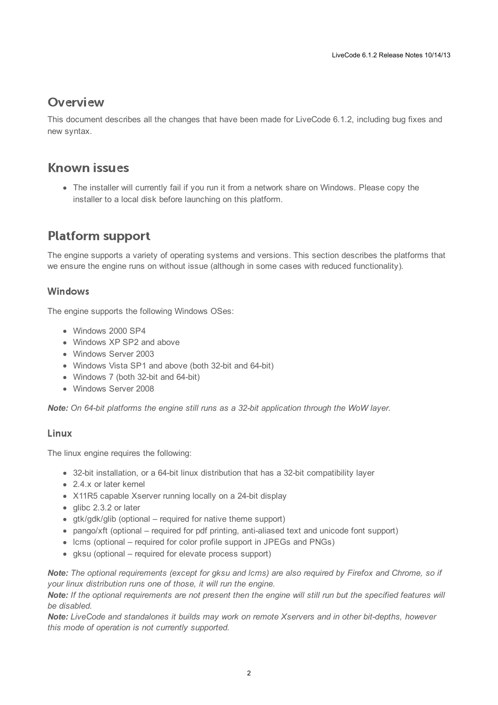## <span id="page-1-0"></span>**Overview**

This document describes all the changes that have been made for LiveCode 6.1.2, including bug fixes and new syntax.

### <span id="page-1-1"></span>**Known issues**

The installer will currently fail if you run it from a network share on Windows. Please copy the installer to a local disk before launching on this platform.

# <span id="page-1-2"></span>**Platform support**

The engine supports a variety of operating systems and versions. This section describes the platforms that we ensure the engine runs on without issue (although in some cases with reduced functionality).

### <span id="page-1-3"></span>Windows

The engine supports the following Windows OSes:

- Windows 2000 SP4
- Windows XP SP2 and above
- Windows Server 2003
- Windows Vista SP1 and above (both 32-bit and 64-bit)
- Windows 7 (both 32-bit and 64-bit)
- Windows Server 2008

*Note: On 64-bit platforms the engine still runs as a 32-bit application through the WoW layer.*

### <span id="page-1-4"></span>Linux

The linux engine requires the following:

- 32-bit installation, or a 64-bit linux distribution that has a 32-bit compatibility layer
- 2.4.x or later kernel
- X11R5 capable Xserver running locally on a 24-bit display
- glibc 2.3.2 or later
- gtk/gdk/glib (optional required for native theme support)
- pango/xft (optional required for pdf printing, anti-aliased text and unicode font support)
- lcms (optional required for color profile support in JPEGs and PNGs)
- gksu (optional required for elevate process support)

Note: The optional requirements (except for gksu and Icms) are also required by Firefox and Chrome, so if *your linux distribution runs one of those, it will run the engine.*

Note: If the optional requirements are not present then the engine will still run but the specified features will *be disabled.*

*Note: LiveCode and standalones it builds may work on remote Xservers and in other bit-depths, however this mode of operation is not currently supported.*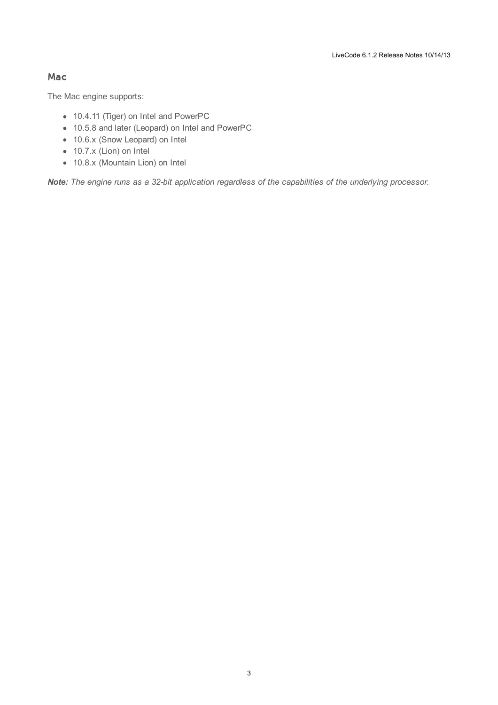#### <span id="page-2-0"></span>Mac

The Mac engine supports:

- 10.4.11 (Tiger) on Intel and PowerPC
- 10.5.8 and later (Leopard) on Intel and PowerPC
- 10.6.x (Snow Leopard) on Intel
- 10.7.x (Lion) on Intel
- 10.8.x (Mountain Lion) on Intel

*Note: The engine runs as a 32-bit application regardless of the capabilities of the underlying processor.*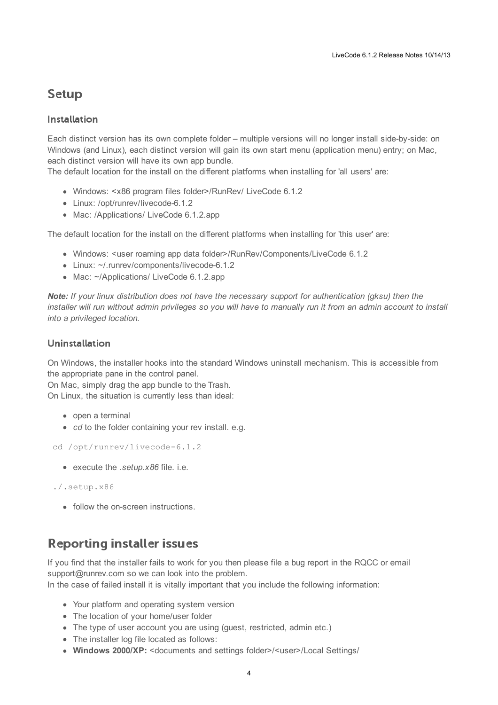# <span id="page-3-0"></span>**Setup**

### <span id="page-3-1"></span>**Installation**

Each distinct version has its own complete folder – multiple versions will no longer install side-by-side: on Windows (and Linux), each distinct version will gain its own start menu (application menu) entry; on Mac, each distinct version will have its own app bundle.

The default location for the install on the different platforms when installing for 'all users' are:

- Windows: <x86 program files folder>/RunRev/ LiveCode 6.1.2
- Linux: /opt/runrev/livecode-6.1.2
- Mac: /Applications/ LiveCode 6.1.2.app

The default location for the install on the different platforms when installing for 'this user' are:

- Windows: <user roaming app data folder>/RunRev/Components/LiveCode 6.1.2
- Linux: ~/.runrev/components/livecode-6.1.2
- Mac: ~/Applications/ LiveCode 6.1.2.app

*Note: If your linux distribution does not have the necessary support for authentication (gksu) then the* installer will run without admin privileges so you will have to manually run it from an admin account to install *into a privileged location.*

### <span id="page-3-2"></span>**Uninstallation**

On Windows, the installer hooks into the standard Windows uninstall mechanism. This is accessible from the appropriate pane in the control panel.

On Mac, simply drag the app bundle to the Trash. On Linux, the situation is currently less than ideal:

- open a terminal
- *cd* to the folder containing your rev install, e.g.

cd /opt/runrev/livecode-6.1.2

execute the *.setup.x86* file. i.e.

```
./.setup.x86
```
• follow the on-screen instructions.

# <span id="page-3-3"></span>**Reporting installer issues**

If you find that the installer fails to work for you then please file a bug report in the RQCC or email support@runrev.com so we can look into the problem.

In the case of failed install it is vitally important that you include the following information:

- Your platform and operating system version
- The location of your home/user folder
- The type of user account you are using (quest, restricted, admin etc.)
- The installer log file located as follows:
- **Windows 2000/XP:** <documents and settings folder>/<user>/Local Settings/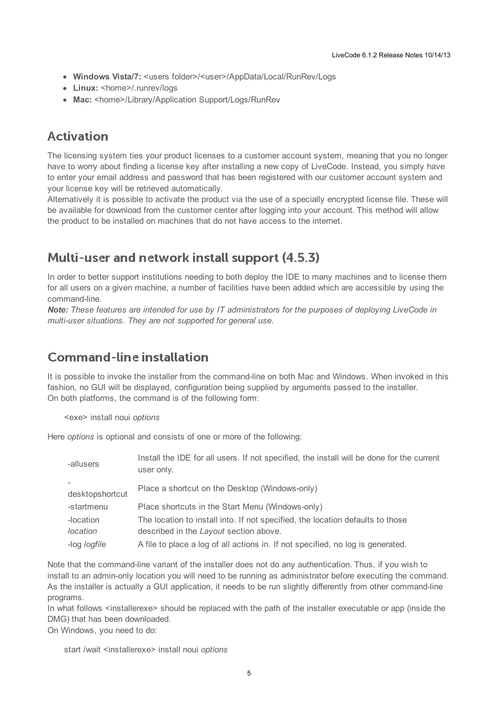- **Windows Vista/7:** <users folder>/<user>/AppData/Local/RunRev/Logs
- Linux: <home>/.runrev/logs
- Mac: <home>/Library/Application Support/Logs/RunRev

### <span id="page-4-0"></span>**Activation**

The licensing system ties your product licenses to a customer account system, meaning that you no longer have to worry about finding a license key after installing a new copy of LiveCode. Instead, you simply have to enter your email address and password that has been registered with our customer account system and your license key will be retrieved automatically.

Alternatively it is possible to activate the product via the use of a specially encrypted license file. These will be available for download from the customer center after logging into your account. This method will allow the product to be installed on machines that do not have access to the internet.

### <span id="page-4-1"></span>Multi-user and network install support (4.5.3)

In order to better support institutions needing to both deploy the IDE to many machines and to license them for all users on a given machine, a number of facilities have been added which are accessible by using the command-line.

*Note: These features are intended for use by IT administrators for the purposes of deploying LiveCode in multi-user situations. They are not supported for general use.*

### <span id="page-4-2"></span>**Command-line installation**

It is possible to invoke the installer from the command-line on both Mac and Windows. When invoked in this fashion, no GUI will be displayed, configuration being supplied by arguments passed to the installer. On both platforms, the command is of the following form:

<exe> install noui *options*

Here *options* is optional and consists of one or more of the following:

| -allusers           | Install the IDE for all users. If not specified, the install will be done for the current<br>user only. |  |
|---------------------|---------------------------------------------------------------------------------------------------------|--|
| desktopshortcut     | Place a shortcut on the Desktop (Windows-only)                                                          |  |
|                     |                                                                                                         |  |
| -startmenu          | Place shortcuts in the Start Menu (Windows-only)                                                        |  |
| -location           | The location to install into. If not specified, the location defaults to those                          |  |
| location            | described in the Layout section above.                                                                  |  |
| -log <i>logfile</i> | A file to place a log of all actions in. If not specified, no log is generated.                         |  |

Note that the command-line variant of the installer does not do any authentication. Thus, if you wish to install to an admin-only location you will need to be running as administrator before executing the command. As the installer is actually a GUI application, it needs to be run slightly differently from other command-line programs.

In what follows <installerexe> should be replaced with the path of the installer executable or app (inside the DMG) that has been downloaded.

On Windows, you need to do:

start /wait <installerexe> install noui *options*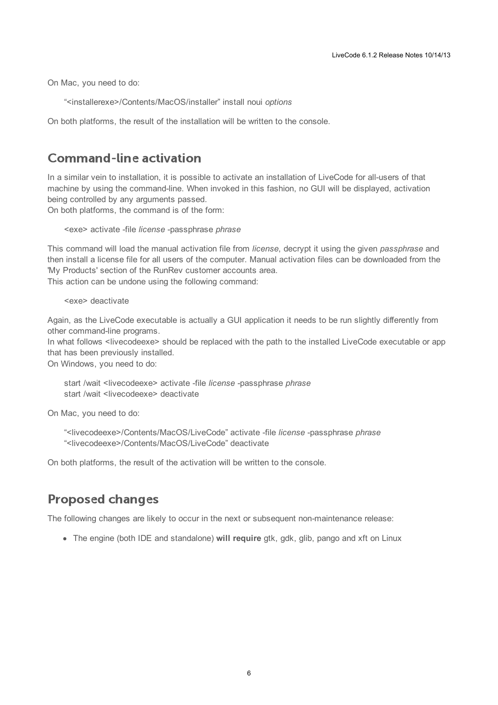On Mac, you need to do:

"<installerexe>/Contents/MacOS/installer" install noui *options*

On both platforms, the result of the installation will be written to the console.

### <span id="page-5-0"></span>**Command-line activation**

In a similar vein to installation, it is possible to activate an installation of LiveCode for all-users of that machine by using the command-line. When invoked in this fashion, no GUI will be displayed, activation being controlled by any arguments passed.

On both platforms, the command is of the form:

<exe> activate -file *license* -passphrase *phrase*

This command will load the manual activation file from *license*, decrypt it using the given *passphrase* and then install a license file for all users of the computer. Manual activation files can be downloaded from the 'My Products' section of the RunRev customer accounts area.

This action can be undone using the following command:

<exe> deactivate

Again, as the LiveCode executable is actually a GUI application it needs to be run slightly differently from other command-line programs.

In what follows <livecodeexe> should be replaced with the path to the installed LiveCode executable or app that has been previously installed.

On Windows, you need to do:

start /wait <livecodeexe> activate -file *license* -passphrase *phrase* start /wait <livecodeexe> deactivate

On Mac, you need to do:

"<livecodeexe>/Contents/MacOS/LiveCode" activate -file *license* -passphrase *phrase* "<livecodeexe>/Contents/MacOS/LiveCode" deactivate

On both platforms, the result of the activation will be written to the console.

# <span id="page-5-1"></span>**Proposed changes**

The following changes are likely to occur in the next or subsequent non-maintenance release:

• The engine (both IDE and standalone) **will require** gtk, gdk, glib, pango and xft on Linux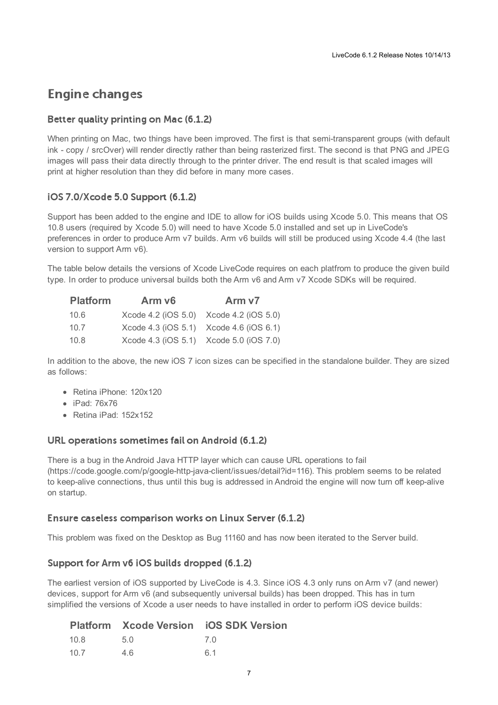# <span id="page-6-0"></span>**Engine changes**

### <span id="page-6-1"></span>Better quality printing on Mac (6.1.2)

When printing on Mac, two things have been improved. The first is that semi-transparent groups (with default ink - copy / srcOver) will render directly rather than being rasterized first. The second is that PNG and JPEG images will pass their data directly through to the printer driver. The end result is that scaled images will print at higher resolution than they did before in many more cases.

### <span id="page-6-2"></span>iOS 7.0/Xcode 5.0 Support (6.1.2)

Support has been added to the engine and IDE to allow for iOS builds using Xcode 5.0. This means that OS 10.8 users (required by Xcode 5.0) will need to have Xcode 5.0 installed and set up in LiveCode's preferences in order to produce Arm v7 builds. Arm v6 builds will still be produced using Xcode 4.4 (the last version to support Arm v6).

The table below details the versions of Xcode LiveCode requires on each platfrom to produce the given build type. In order to produce universal builds both the Arm v6 and Arm v7 Xcode SDKs will be required.

| <b>Platform</b> | Arm v <sub>6</sub> | Arm v7                                  |
|-----------------|--------------------|-----------------------------------------|
| 10.6            |                    | Xcode 4.2 (iOS 5.0) Xcode 4.2 (iOS 5.0) |
| 10.7            |                    | Xcode 4.3 (iOS 5.1) Xcode 4.6 (iOS 6.1) |
| 10.8            |                    | Xcode 4.3 (iOS 5.1) Xcode 5.0 (iOS 7.0) |

In addition to the above, the new iOS 7 icon sizes can be specified in the standalone builder. They are sized as follows:

- Retina iPhone: 120x120
- iPad: 76x76
- Retina iPad: 152x152

#### <span id="page-6-3"></span>URL operations sometimes fail on Android (6.1.2)

There is a bug in the Android Java HTTP layer which can cause URL operations to fail (https://code.google.com/p/google-http-java-client/issues/detail?id=116). This problem seems to be related to keep-alive connections, thus until this bug is addressed in Android the engine will now turn off keep-alive on startup.

#### <span id="page-6-4"></span>Ensure caseless comparison works on Linux Server (6.1.2)

This problem was fixed on the Desktop as Bug 11160 and has now been iterated to the Server build.

#### <span id="page-6-5"></span>Support for Arm v6 iOS builds dropped (6.1.2)

The earliest version of iOS supported by LiveCode is 4.3. Since iOS 4.3 only runs on Arm v7 (and newer) devices, support for Arm v6 (and subsequently universal builds) has been dropped. This has in turn simplified the versions of Xcode a user needs to have installed in order to perform iOS device builds:

|      |      | <b>Platform Xcode Version iOS SDK Version</b> |
|------|------|-----------------------------------------------|
| 10.8 | .5 Q | 7 Q                                           |
| 107  | 46   | 61                                            |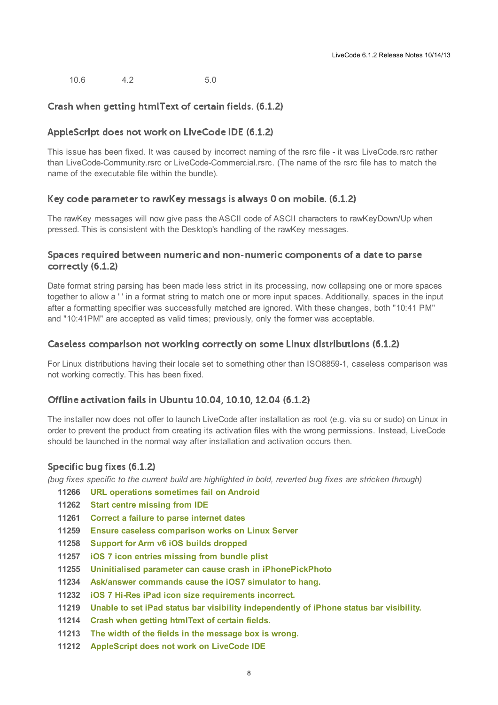10.6 4.2 5.0

#### <span id="page-7-0"></span>Crash when getting htmlText of certain fields. (6.1.2)

#### <span id="page-7-1"></span>AppleScript does not work on LiveCode IDE (6.1.2)

This issue has been fixed. It was caused by incorrect naming of the rsrc file - it was LiveCode.rsrc rather than LiveCode-Community.rsrc or LiveCode-Commercial.rsrc. (The name of the rsrc file has to match the name of the executable file within the bundle).

#### <span id="page-7-2"></span>Key code parameter to rawKey messags is always 0 on mobile. (6.1.2)

The rawKey messages will now give pass the ASCII code of ASCII characters to rawKeyDown/Up when pressed. This is consistent with the Desktop's handling of the rawKey messages.

#### <span id="page-7-3"></span>Spaces required between numeric and non-numeric components of a date to parse correctly (6.1.2)

Date format string parsing has been made less strict in its processing, now collapsing one or more spaces together to allow a ' ' in a format string to match one or more input spaces. Additionally, spaces in the input after a formatting specifier was successfully matched are ignored. With these changes, both "10:41 PM" and "10:41PM" are accepted as valid times; previously, only the former was acceptable.

#### <span id="page-7-4"></span>Caseless comparison not working correctly on some Linux distributions (6.1.2)

For Linux distributions having their locale set to something other than ISO8859-1, caseless comparison was not working correctly. This has been fixed.

#### <span id="page-7-5"></span>Offline activation fails in Ubuntu 10.04, 10.10, 12.04 (6.1.2)

The installer now does not offer to launch LiveCode after installation as root (e.g. via su or sudo) on Linux in order to prevent the product from creating its activation files with the wrong permissions. Instead, LiveCode should be launched in the normal way after installation and activation occurs then.

#### <span id="page-7-6"></span>Specific bug fixes (6.1.2)

(bug fixes specific to the current build are highlighted in bold, reverted bug fixes are stricken through)

- **11266 URL operations [sometimes](http://quality.runrev.com/show_bug.cgi?id=11266) fail on Android**
- **11262 Start centre [missing](http://quality.runrev.com/show_bug.cgi?id=11262) from IDE**
- **11261 Correct a failure to parse [internet](http://quality.runrev.com/show_bug.cgi?id=11261) dates**
- **11259 Ensure caseless [comparison](http://quality.runrev.com/show_bug.cgi?id=11259) works on Linux Server**
- **11258 Support for Arm v6 iOS builds [dropped](http://quality.runrev.com/show_bug.cgi?id=11258)**
- **11257 iOS 7 icon entries [missing](http://quality.runrev.com/show_bug.cgi?id=11257) from bundle plist**
- **11255 Uninitialised parameter can cause crash in [iPhonePickPhoto](http://quality.runrev.com/show_bug.cgi?id=11255)**
- **11234 [Ask/answer](http://quality.runrev.com/show_bug.cgi?id=11234) commands cause the iOS7 simulator to hang.**
- **11232 iOS 7 Hi-Res iPad icon size [requirements](http://quality.runrev.com/show_bug.cgi?id=11232) incorrect.**
- **11219 Unable to set iPad status bar visibility [independently](http://quality.runrev.com/show_bug.cgi?id=11219) of iPhone status bar visibility.**
- **11214 Crash when getting [htmlText](http://quality.runrev.com/show_bug.cgi?id=11214) of certain fields.**
- **11213 The width of the fields in the [message](http://quality.runrev.com/show_bug.cgi?id=11213) box is wrong.**
- **11212 [AppleScript](http://quality.runrev.com/show_bug.cgi?id=11212) does not work on LiveCode IDE**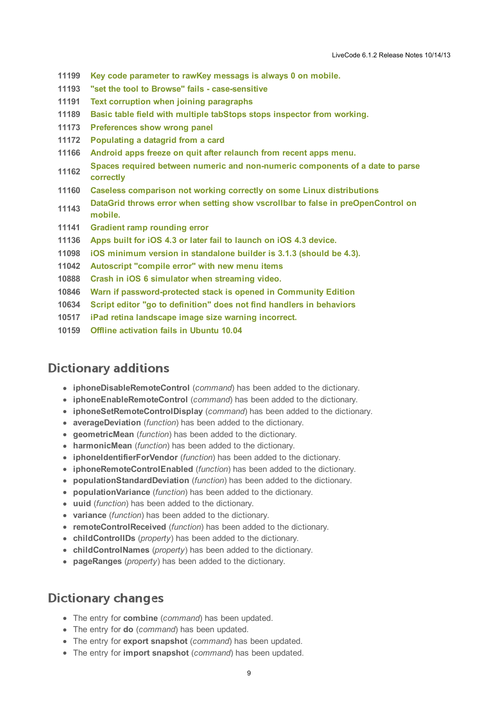- **11199 Key code [parameter](http://quality.runrev.com/show_bug.cgi?id=11199) to rawKey messags is always 0 on mobile.**
- **11193 "set the tool to Browse" fails - [case-sensitive](http://quality.runrev.com/show_bug.cgi?id=11193)**
- **11191 Text corruption when joining [paragraphs](http://quality.runrev.com/show_bug.cgi?id=11191)**
- **11189 Basic table field with multiple tabStops stops [inspector](http://quality.runrev.com/show_bug.cgi?id=11189) from working.**
- **11173 [Preferences](http://quality.runrev.com/show_bug.cgi?id=11173) show wrong panel**
- **11172 [Populating](http://quality.runrev.com/show_bug.cgi?id=11172) a datagrid from a card**
- **11166 Android apps freeze on quit after [relaunch](http://quality.runrev.com/show_bug.cgi?id=11166) from recent apps menu.**
- **11162 Spaces required between numeric and [non-numeric](http://quality.runrev.com/show_bug.cgi?id=11162) components of a date to parse correctly**
- **11160 Caseless comparison not working correctly on some Linux [distributions](http://quality.runrev.com/show_bug.cgi?id=11160)**
- **11143 DataGrid throws error when setting show vscrollbar to false in [preOpenControl](http://quality.runrev.com/show_bug.cgi?id=11143) on mobile.**
- **11141 Gradient ramp [rounding](http://quality.runrev.com/show_bug.cgi?id=11141) error**
- **11136 Apps built for iOS 4.3 or later fail to [launch](http://quality.runrev.com/show_bug.cgi?id=11136) on iOS 4.3 device.**
- **11098 iOS minimum version in [standalone](http://quality.runrev.com/show_bug.cgi?id=11098) builder is 3.1.3 (should be 4.3).**
- **11042 [Autoscript](http://quality.runrev.com/show_bug.cgi?id=11042) "compile error" with new menu items**
- **10888 Crash in iOS 6 simulator when [streaming](http://quality.runrev.com/show_bug.cgi?id=10888) video.**
- **10846 Warn if [password-protected](http://quality.runrev.com/show_bug.cgi?id=10846) stack is opened in Community Edition**
- **10634 Script editor "go to [definition"](http://quality.runrev.com/show_bug.cgi?id=10634) does not find handlers in behaviors**
- **10517 iPad retina [landscape](http://quality.runrev.com/show_bug.cgi?id=10517) image size warning incorrect.**
- **10159 Offline [activation](http://quality.runrev.com/show_bug.cgi?id=10159) fails in Ubuntu 10.04**

### <span id="page-8-0"></span>**Dictionary additions**

- **iphoneDisableRemoteControl** (*command*) has been added to the dictionary.
- **iphoneEnableRemoteControl** (*command*) has been added to the dictionary.
- **iphoneSetRemoteControlDisplay** (*command*) has been added to the dictionary.
- **averageDeviation** (*function*) has been added to the dictionary.
- **geometricMean** (*function*) has been added to the dictionary.
- **harmonicMean** (*function*) has been added to the dictionary.
- **iphoneIdentifierForVendor** (*function*) has been added to the dictionary.
- **iphoneRemoteControlEnabled** (*function*) has been added to the dictionary.
- **populationStandardDeviation** (*function*) has been added to the dictionary.
- **populationVariance** (*function*) has been added to the dictionary.
- **uuid** (*function*) has been added to the dictionary.
- **variance** (*function*) has been added to the dictionary.
- **remoteControlReceived** (*function*) has been added to the dictionary.
- **childControlIDs** (*property*) has been added to the dictionary.
- **childControlNames** (*property*) has been added to the dictionary.
- **pageRanges** (*property*) has been added to the dictionary.

### <span id="page-8-1"></span>**Dictionary changes**

- The entry for **combine** (*command*) has been updated.
- The entry for **do** (*command*) has been updated.
- The entry for **export snapshot** (*command*) has been updated.
- The entry for **import snapshot** (*command*) has been updated.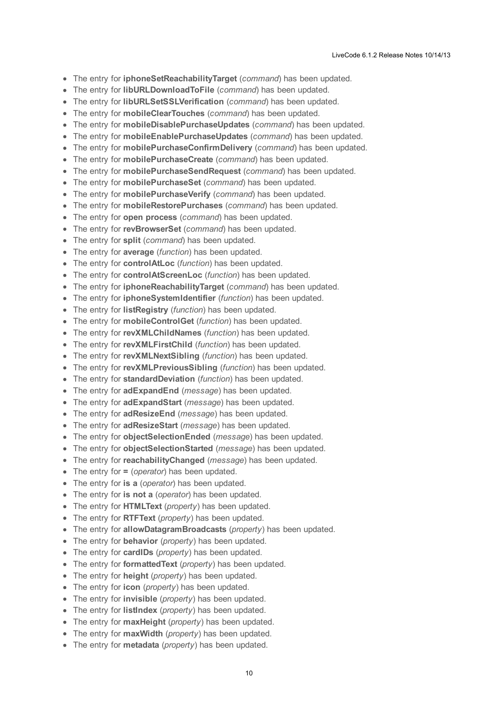- The entry for **iphoneSetReachabilityTarget** (*command*) has been updated.
- $\bullet$ The entry for **libURLDownloadToFile** (*command*) has been updated.
- The entry for **libURLSetSSLVerification** (*command*) has been updated.
- The entry for **mobileClearTouches** (*command*) has been updated.
- The entry for **mobileDisablePurchaseUpdates** (*command*) has been updated.
- The entry for **mobileEnablePurchaseUpdates** (*command*) has been updated.
- The entry for **mobilePurchaseConfirmDelivery** (*command*) has been updated.
- The entry for **mobilePurchaseCreate** (*command*) has been updated.
- The entry for **mobilePurchaseSendRequest** (*command*) has been updated.
- The entry for **mobilePurchaseSet** (*command*) has been updated.
- The entry for **mobilePurchaseVerify** (*command*) has been updated.
- The entry for **mobileRestorePurchases** (*command*) has been updated.
- The entry for **open process** (*command*) has been updated.
- The entry for **revBrowserSet** (*command*) has been updated.
- The entry for **split** (*command*) has been updated.
- The entry for **average** (*function*) has been updated.
- The entry for **controlAtLoc** (*function*) has been updated.
- The entry for **controlAtScreenLoc** (*function*) has been updated.
- The entry for **iphoneReachabilityTarget** (*command*) has been updated.
- The entry for **iphoneSystemIdentifier** (*function*) has been updated.
- The entry for **listRegistry** (*function*) has been updated.
- The entry for **mobileControlGet** (*function*) has been updated.
- The entry for **revXMLChildNames** (*function*) has been updated.
- The entry for **revXMLFirstChild** (*function*) has been updated.
- The entry for **revXMLNextSibling** (*function*) has been updated.
- The entry for **revXMLPreviousSibling** (*function*) has been updated.
- The entry for **standardDeviation** (*function*) has been updated.
- The entry for **adExpandEnd** (*message*) has been updated.
- The entry for **adExpandStart** (*message*) has been updated.
- The entry for **adResizeEnd** (*message*) has been updated.
- The entry for **adResizeStart** (*message*) has been updated.
- The entry for **objectSelectionEnded** (*message*) has been updated.
- The entry for **objectSelectionStarted** (*message*) has been updated.
- The entry for **reachabilityChanged** (*message*) has been updated.
- The entry for **=** (*operator*) has been updated.
- The entry for **is a** (*operator*) has been updated.
- The entry for **is not a** (*operator*) has been updated.
- The entry for **HTMLText** (*property*) has been updated.
- The entry for **RTFText** (*property*) has been updated.
- The entry for **allowDatagramBroadcasts** (*property*) has been updated.
- The entry for **behavior** (*property*) has been updated.
- The entry for **cardIDs** (*property*) has been updated.
- The entry for **formattedText** (*property*) has been updated.
- The entry for **height** (*property*) has been updated.
- The entry for **icon** (*property*) has been updated.
- The entry for **invisible** (*property*) has been updated.
- The entry for **listIndex** (*property*) has been updated.
- The entry for **maxHeight** (*property*) has been updated.
- The entry for **maxWidth** (*property*) has been updated.
- The entry for **metadata** (*property*) has been updated.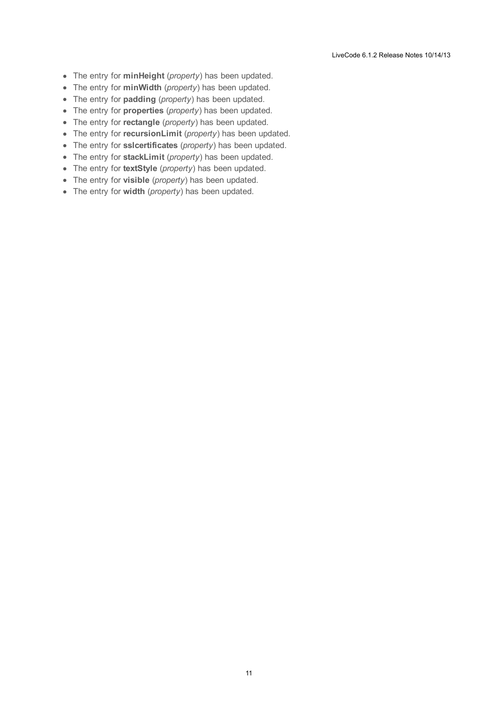- The entry for **minHeight** (*property*) has been updated.
- The entry for **minWidth** (*property*) has been updated.
- The entry for **padding** (*property*) has been updated.
- The entry for **properties** (*property*) has been updated.
- The entry for **rectangle** (*property*) has been updated.
- The entry for **recursionLimit** (*property*) has been updated.
- The entry for **sslcertificates** (*property*) has been updated.
- The entry for **stackLimit** (*property*) has been updated.
- The entry for **textStyle** (*property*) has been updated.
- The entry for **visible** (*property*) has been updated.
- The entry for **width** (*property*) has been updated.